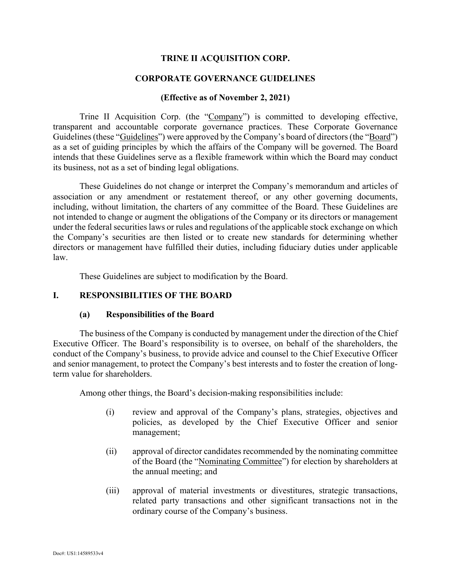### **TRINE II ACQUISITION CORP.**

#### **CORPORATE GOVERNANCE GUIDELINES**

#### **(Effective as of November 2, 2021)**

Trine II Acquisition Corp. (the "Company") is committed to developing effective, transparent and accountable corporate governance practices. These Corporate Governance Guidelines (these "Guidelines") were approved by the Company's board of directors (the "Board") as a set of guiding principles by which the affairs of the Company will be governed. The Board intends that these Guidelines serve as a flexible framework within which the Board may conduct its business, not as a set of binding legal obligations.

These Guidelines do not change or interpret the Company's memorandum and articles of association or any amendment or restatement thereof, or any other governing documents, including, without limitation, the charters of any committee of the Board. These Guidelines are not intended to change or augment the obligations of the Company or its directors or management under the federal securities laws or rules and regulations of the applicable stock exchange on which the Company's securities are then listed or to create new standards for determining whether directors or management have fulfilled their duties, including fiduciary duties under applicable law.

These Guidelines are subject to modification by the Board.

#### **I. RESPONSIBILITIES OF THE BOARD**

#### **(a) Responsibilities of the Board**

The business of the Company is conducted by management under the direction of the Chief Executive Officer. The Board's responsibility is to oversee, on behalf of the shareholders, the conduct of the Company's business, to provide advice and counsel to the Chief Executive Officer and senior management, to protect the Company's best interests and to foster the creation of longterm value for shareholders.

Among other things, the Board's decision-making responsibilities include:

- (i) review and approval of the Company's plans, strategies, objectives and policies, as developed by the Chief Executive Officer and senior management;
- (ii) approval of director candidates recommended by the nominating committee of the Board (the "Nominating Committee") for election by shareholders at the annual meeting; and
- (iii) approval of material investments or divestitures, strategic transactions, related party transactions and other significant transactions not in the ordinary course of the Company's business.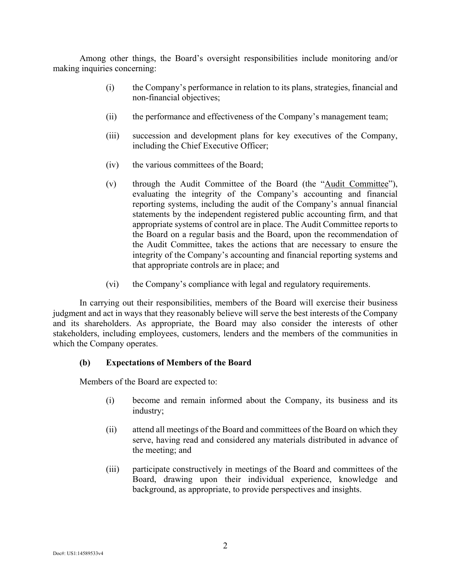Among other things, the Board's oversight responsibilities include monitoring and/or making inquiries concerning:

- (i) the Company's performance in relation to its plans, strategies, financial and non-financial objectives;
- (ii) the performance and effectiveness of the Company's management team;
- (iii) succession and development plans for key executives of the Company, including the Chief Executive Officer;
- (iv) the various committees of the Board;
- (v) through the Audit Committee of the Board (the "Audit Committee"), evaluating the integrity of the Company's accounting and financial reporting systems, including the audit of the Company's annual financial statements by the independent registered public accounting firm, and that appropriate systems of control are in place. The Audit Committee reports to the Board on a regular basis and the Board, upon the recommendation of the Audit Committee, takes the actions that are necessary to ensure the integrity of the Company's accounting and financial reporting systems and that appropriate controls are in place; and
- (vi) the Company's compliance with legal and regulatory requirements.

In carrying out their responsibilities, members of the Board will exercise their business judgment and act in ways that they reasonably believe will serve the best interests of the Company and its shareholders. As appropriate, the Board may also consider the interests of other stakeholders, including employees, customers, lenders and the members of the communities in which the Company operates.

### **(b) Expectations of Members of the Board**

Members of the Board are expected to:

- (i) become and remain informed about the Company, its business and its industry;
- (ii) attend all meetings of the Board and committees of the Board on which they serve, having read and considered any materials distributed in advance of the meeting; and
- (iii) participate constructively in meetings of the Board and committees of the Board, drawing upon their individual experience, knowledge and background, as appropriate, to provide perspectives and insights.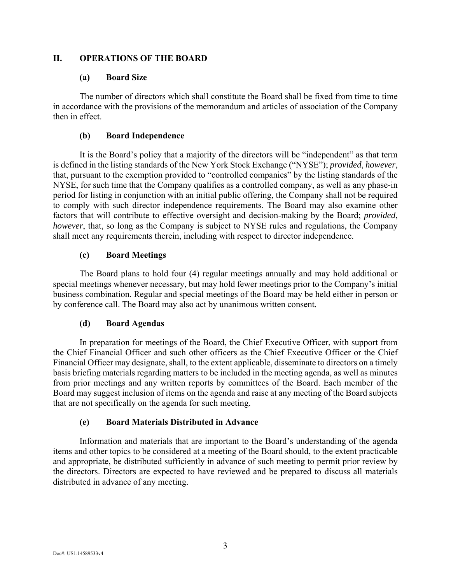### **II. OPERATIONS OF THE BOARD**

### **(a) Board Size**

The number of directors which shall constitute the Board shall be fixed from time to time in accordance with the provisions of the memorandum and articles of association of the Company then in effect.

## **(b) Board Independence**

It is the Board's policy that a majority of the directors will be "independent" as that term is defined in the listing standards of the New York Stock Exchange ("NYSE"); *provided*, *however*, that, pursuant to the exemption provided to "controlled companies" by the listing standards of the NYSE, for such time that the Company qualifies as a controlled company, as well as any phase-in period for listing in conjunction with an initial public offering, the Company shall not be required to comply with such director independence requirements. The Board may also examine other factors that will contribute to effective oversight and decision-making by the Board; *provided*, *however*, that, so long as the Company is subject to NYSE rules and regulations, the Company shall meet any requirements therein, including with respect to director independence.

# **(c) Board Meetings**

The Board plans to hold four (4) regular meetings annually and may hold additional or special meetings whenever necessary, but may hold fewer meetings prior to the Company's initial business combination. Regular and special meetings of the Board may be held either in person or by conference call. The Board may also act by unanimous written consent.

# **(d) Board Agendas**

In preparation for meetings of the Board, the Chief Executive Officer, with support from the Chief Financial Officer and such other officers as the Chief Executive Officer or the Chief Financial Officer may designate, shall, to the extent applicable, disseminate to directors on a timely basis briefing materials regarding matters to be included in the meeting agenda, as well as minutes from prior meetings and any written reports by committees of the Board. Each member of the Board may suggest inclusion of items on the agenda and raise at any meeting of the Board subjects that are not specifically on the agenda for such meeting.

# **(e) Board Materials Distributed in Advance**

Information and materials that are important to the Board's understanding of the agenda items and other topics to be considered at a meeting of the Board should, to the extent practicable and appropriate, be distributed sufficiently in advance of such meeting to permit prior review by the directors. Directors are expected to have reviewed and be prepared to discuss all materials distributed in advance of any meeting.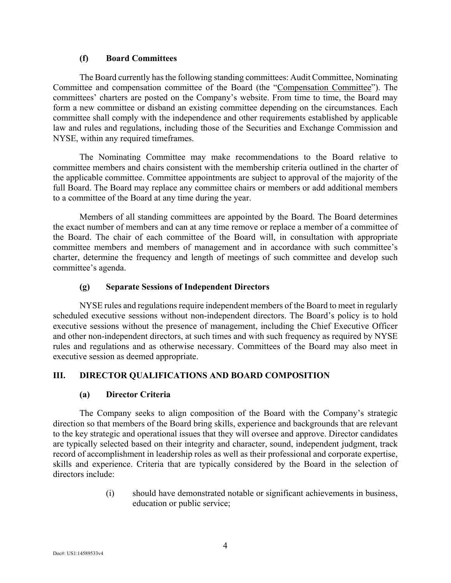## **(f) Board Committees**

The Board currently has the following standing committees: Audit Committee, Nominating Committee and compensation committee of the Board (the "Compensation Committee"). The committees' charters are posted on the Company's website. From time to time, the Board may form a new committee or disband an existing committee depending on the circumstances. Each committee shall comply with the independence and other requirements established by applicable law and rules and regulations, including those of the Securities and Exchange Commission and NYSE, within any required timeframes.

The Nominating Committee may make recommendations to the Board relative to committee members and chairs consistent with the membership criteria outlined in the charter of the applicable committee. Committee appointments are subject to approval of the majority of the full Board. The Board may replace any committee chairs or members or add additional members to a committee of the Board at any time during the year.

Members of all standing committees are appointed by the Board. The Board determines the exact number of members and can at any time remove or replace a member of a committee of the Board. The chair of each committee of the Board will, in consultation with appropriate committee members and members of management and in accordance with such committee's charter, determine the frequency and length of meetings of such committee and develop such committee's agenda.

# **(g) Separate Sessions of Independent Directors**

NYSE rules and regulations require independent members of the Board to meet in regularly scheduled executive sessions without non-independent directors. The Board's policy is to hold executive sessions without the presence of management, including the Chief Executive Officer and other non-independent directors, at such times and with such frequency as required by NYSE rules and regulations and as otherwise necessary. Committees of the Board may also meet in executive session as deemed appropriate.

# **III. DIRECTOR QUALIFICATIONS AND BOARD COMPOSITION**

# **(a) Director Criteria**

The Company seeks to align composition of the Board with the Company's strategic direction so that members of the Board bring skills, experience and backgrounds that are relevant to the key strategic and operational issues that they will oversee and approve. Director candidates are typically selected based on their integrity and character, sound, independent judgment, track record of accomplishment in leadership roles as well as their professional and corporate expertise, skills and experience. Criteria that are typically considered by the Board in the selection of directors include:

> (i) should have demonstrated notable or significant achievements in business, education or public service;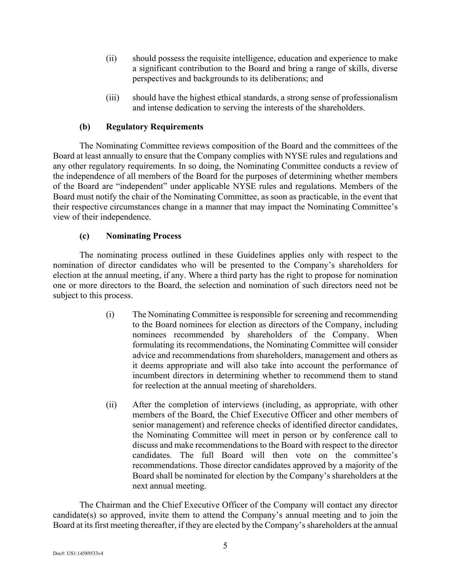- (ii) should possess the requisite intelligence, education and experience to make a significant contribution to the Board and bring a range of skills, diverse perspectives and backgrounds to its deliberations; and
- (iii) should have the highest ethical standards, a strong sense of professionalism and intense dedication to serving the interests of the shareholders.

# **(b) Regulatory Requirements**

The Nominating Committee reviews composition of the Board and the committees of the Board at least annually to ensure that the Company complies with NYSE rules and regulations and any other regulatory requirements. In so doing, the Nominating Committee conducts a review of the independence of all members of the Board for the purposes of determining whether members of the Board are "independent" under applicable NYSE rules and regulations. Members of the Board must notify the chair of the Nominating Committee, as soon as practicable, in the event that their respective circumstances change in a manner that may impact the Nominating Committee's view of their independence.

## **(c) Nominating Process**

The nominating process outlined in these Guidelines applies only with respect to the nomination of director candidates who will be presented to the Company's shareholders for election at the annual meeting, if any. Where a third party has the right to propose for nomination one or more directors to the Board, the selection and nomination of such directors need not be subject to this process.

- (i) The Nominating Committee is responsible for screening and recommending to the Board nominees for election as directors of the Company, including nominees recommended by shareholders of the Company. When formulating its recommendations, the Nominating Committee will consider advice and recommendations from shareholders, management and others as it deems appropriate and will also take into account the performance of incumbent directors in determining whether to recommend them to stand for reelection at the annual meeting of shareholders.
- (ii) After the completion of interviews (including, as appropriate, with other members of the Board, the Chief Executive Officer and other members of senior management) and reference checks of identified director candidates, the Nominating Committee will meet in person or by conference call to discuss and make recommendations to the Board with respect to the director candidates. The full Board will then vote on the committee's recommendations. Those director candidates approved by a majority of the Board shall be nominated for election by the Company's shareholders at the next annual meeting.

The Chairman and the Chief Executive Officer of the Company will contact any director candidate(s) so approved, invite them to attend the Company's annual meeting and to join the Board at its first meeting thereafter, if they are elected by the Company's shareholders at the annual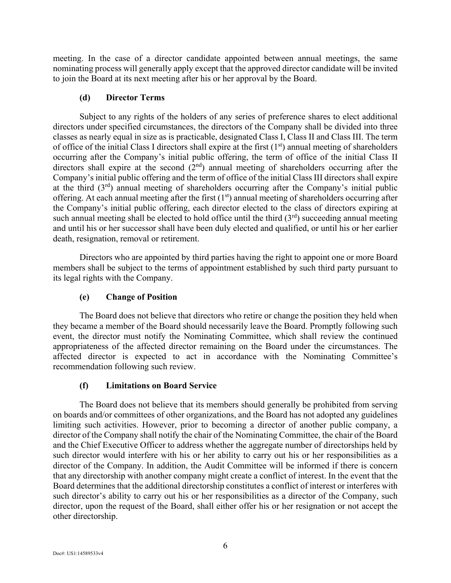meeting. In the case of a director candidate appointed between annual meetings, the same nominating process will generally apply except that the approved director candidate will be invited to join the Board at its next meeting after his or her approval by the Board.

## **(d) Director Terms**

Subject to any rights of the holders of any series of preference shares to elect additional directors under specified circumstances, the directors of the Company shall be divided into three classes as nearly equal in size as is practicable, designated Class I, Class II and Class III. The term of office of the initial Class I directors shall expire at the first  $(1<sup>st</sup>)$  annual meeting of shareholders occurring after the Company's initial public offering, the term of office of the initial Class II directors shall expire at the second  $(2<sup>nd</sup>)$  annual meeting of shareholders occurring after the Company's initial public offering and the term of office of the initial Class III directors shall expire at the third  $(3<sup>rd</sup>)$  annual meeting of shareholders occurring after the Company's initial public offering. At each annual meeting after the first  $(1<sup>st</sup>)$  annual meeting of shareholders occurring after the Company's initial public offering, each director elected to the class of directors expiring at such annual meeting shall be elected to hold office until the third  $(3<sup>rd</sup>)$  succeeding annual meeting and until his or her successor shall have been duly elected and qualified, or until his or her earlier death, resignation, removal or retirement.

Directors who are appointed by third parties having the right to appoint one or more Board members shall be subject to the terms of appointment established by such third party pursuant to its legal rights with the Company.

# **(e) Change of Position**

The Board does not believe that directors who retire or change the position they held when they became a member of the Board should necessarily leave the Board. Promptly following such event, the director must notify the Nominating Committee, which shall review the continued appropriateness of the affected director remaining on the Board under the circumstances. The affected director is expected to act in accordance with the Nominating Committee's recommendation following such review.

# **(f) Limitations on Board Service**

The Board does not believe that its members should generally be prohibited from serving on boards and/or committees of other organizations, and the Board has not adopted any guidelines limiting such activities. However, prior to becoming a director of another public company, a director of the Company shall notify the chair of the Nominating Committee, the chair of the Board and the Chief Executive Officer to address whether the aggregate number of directorships held by such director would interfere with his or her ability to carry out his or her responsibilities as a director of the Company. In addition, the Audit Committee will be informed if there is concern that any directorship with another company might create a conflict of interest. In the event that the Board determines that the additional directorship constitutes a conflict of interest or interferes with such director's ability to carry out his or her responsibilities as a director of the Company, such director, upon the request of the Board, shall either offer his or her resignation or not accept the other directorship.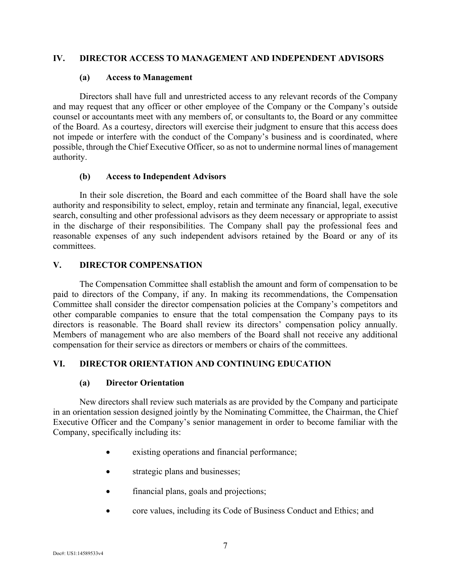### **IV. DIRECTOR ACCESS TO MANAGEMENT AND INDEPENDENT ADVISORS**

#### **(a) Access to Management**

Directors shall have full and unrestricted access to any relevant records of the Company and may request that any officer or other employee of the Company or the Company's outside counsel or accountants meet with any members of, or consultants to, the Board or any committee of the Board. As a courtesy, directors will exercise their judgment to ensure that this access does not impede or interfere with the conduct of the Company's business and is coordinated, where possible, through the Chief Executive Officer, so as not to undermine normal lines of management authority.

### **(b) Access to Independent Advisors**

In their sole discretion, the Board and each committee of the Board shall have the sole authority and responsibility to select, employ, retain and terminate any financial, legal, executive search, consulting and other professional advisors as they deem necessary or appropriate to assist in the discharge of their responsibilities. The Company shall pay the professional fees and reasonable expenses of any such independent advisors retained by the Board or any of its committees.

### **V. DIRECTOR COMPENSATION**

The Compensation Committee shall establish the amount and form of compensation to be paid to directors of the Company, if any. In making its recommendations, the Compensation Committee shall consider the director compensation policies at the Company's competitors and other comparable companies to ensure that the total compensation the Company pays to its directors is reasonable. The Board shall review its directors' compensation policy annually. Members of management who are also members of the Board shall not receive any additional compensation for their service as directors or members or chairs of the committees.

# **VI. DIRECTOR ORIENTATION AND CONTINUING EDUCATION**

### **(a) Director Orientation**

New directors shall review such materials as are provided by the Company and participate in an orientation session designed jointly by the Nominating Committee, the Chairman, the Chief Executive Officer and the Company's senior management in order to become familiar with the Company, specifically including its:

- existing operations and financial performance;
- strategic plans and businesses;
- financial plans, goals and projections;
- core values, including its Code of Business Conduct and Ethics; and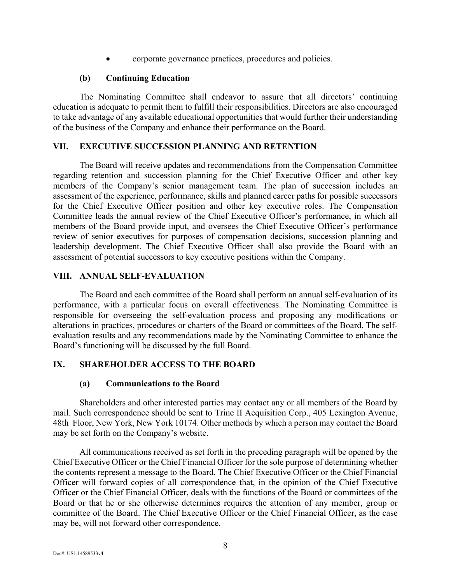corporate governance practices, procedures and policies.

#### **(b) Continuing Education**

The Nominating Committee shall endeavor to assure that all directors' continuing education is adequate to permit them to fulfill their responsibilities. Directors are also encouraged to take advantage of any available educational opportunities that would further their understanding of the business of the Company and enhance their performance on the Board.

#### **VII. EXECUTIVE SUCCESSION PLANNING AND RETENTION**

The Board will receive updates and recommendations from the Compensation Committee regarding retention and succession planning for the Chief Executive Officer and other key members of the Company's senior management team. The plan of succession includes an assessment of the experience, performance, skills and planned career paths for possible successors for the Chief Executive Officer position and other key executive roles. The Compensation Committee leads the annual review of the Chief Executive Officer's performance, in which all members of the Board provide input, and oversees the Chief Executive Officer's performance review of senior executives for purposes of compensation decisions, succession planning and leadership development. The Chief Executive Officer shall also provide the Board with an assessment of potential successors to key executive positions within the Company.

### **VIII. ANNUAL SELF-EVALUATION**

The Board and each committee of the Board shall perform an annual self-evaluation of its performance, with a particular focus on overall effectiveness. The Nominating Committee is responsible for overseeing the self-evaluation process and proposing any modifications or alterations in practices, procedures or charters of the Board or committees of the Board. The selfevaluation results and any recommendations made by the Nominating Committee to enhance the Board's functioning will be discussed by the full Board.

### **IX. SHAREHOLDER ACCESS TO THE BOARD**

#### **(a) Communications to the Board**

Shareholders and other interested parties may contact any or all members of the Board by mail. Such correspondence should be sent to Trine II Acquisition Corp., 405 Lexington Avenue, 48th Floor, New York, New York 10174. Other methods by which a person may contact the Board may be set forth on the Company's website.

All communications received as set forth in the preceding paragraph will be opened by the Chief Executive Officer or the Chief Financial Officer for the sole purpose of determining whether the contents represent a message to the Board. The Chief Executive Officer or the Chief Financial Officer will forward copies of all correspondence that, in the opinion of the Chief Executive Officer or the Chief Financial Officer, deals with the functions of the Board or committees of the Board or that he or she otherwise determines requires the attention of any member, group or committee of the Board. The Chief Executive Officer or the Chief Financial Officer, as the case may be, will not forward other correspondence.